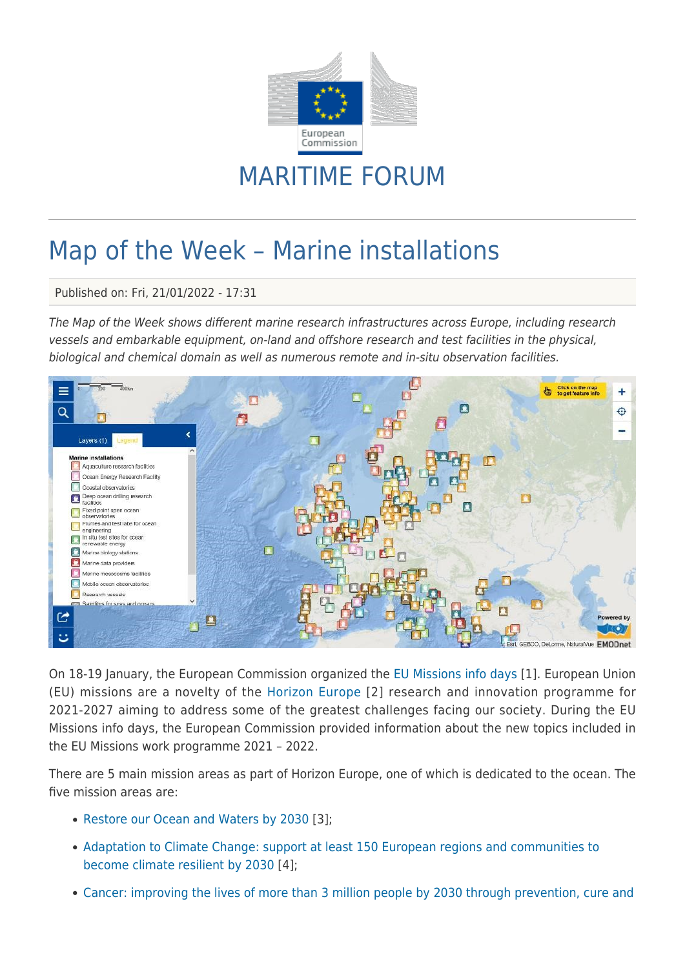

## MARITIME FORUM

## Map of the Week – Marine installations

Published on: Fri, 21/01/2022 - 17:31

The Map of the Week shows different marine research infrastructures across Europe, including research vessels and embarkable equipment, on-land and offshore research and test facilities in the physical, biological and chemical domain as well as numerous remote and in-situ observation facilities.



On 18-19 January, the European Commission organized the [EU Missions info days](https://ec.europa.eu/info/research-and-innovation/events/upcoming-events/horizon-europe-info-days/eu-missions_en) [1]. European Union (EU) missions are a novelty of the [Horizon Europe](https://ec.europa.eu/info/research-and-innovation/funding/funding-opportunities/funding-programmes-and-open-calls/horizon-europe_en) [2] research and innovation programme for 2021-2027 aiming to address some of the greatest challenges facing our society. During the EU Missions info days, the European Commission provided information about the new topics included in the EU Missions work programme 2021 – 2022.

There are 5 main mission areas as part of Horizon Europe, one of which is dedicated to the ocean. The five mission areas are:

- [Restore our Ocean and Waters by 2030](https://ec.europa.eu/info/research-and-innovation/funding/funding-opportunities/funding-programmes-and-open-calls/horizon-europe/missions-horizon-europe/healthy-oceans-seas-coastal-and-inland-waters_en) [3];
- [Adaptation to Climate Change: support at least 150 European regions and communities to](https://ec.europa.eu/info/research-and-innovation/funding/funding-opportunities/funding-programmes-and-open-calls/horizon-europe/missions-horizon-europe/adaptation-climate-change-including-societal-transformation_en) [become climate resilient by 2030](https://ec.europa.eu/info/research-and-innovation/funding/funding-opportunities/funding-programmes-and-open-calls/horizon-europe/missions-horizon-europe/adaptation-climate-change-including-societal-transformation_en) [4];
- [Cancer: improving the lives of more than 3 million people by 2030 through prevention, cure and](https://ec.europa.eu/info/research-and-innovation/funding/funding-opportunities/funding-programmes-and-open-calls/horizon-europe/missions-horizon-europe/cancer_en)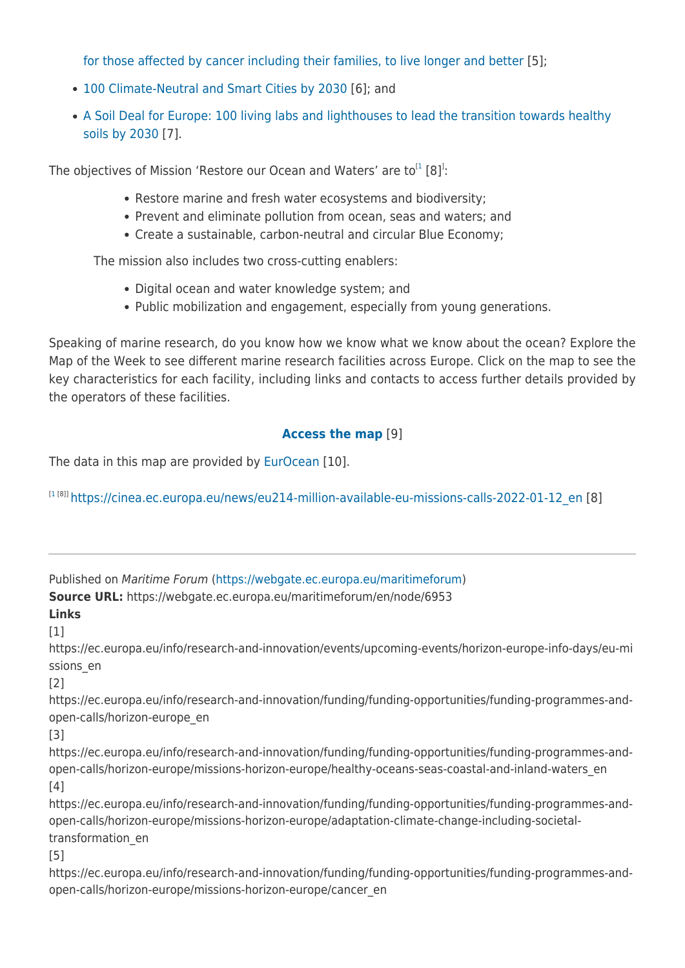[for those affected by cancer including their families, to live longer and better](https://ec.europa.eu/info/research-and-innovation/funding/funding-opportunities/funding-programmes-and-open-calls/horizon-europe/missions-horizon-europe/cancer_en) [5];

- [100 Climate-Neutral and Smart Cities by 2030](https://ec.europa.eu/info/research-and-innovation/funding/funding-opportunities/funding-programmes-and-open-calls/horizon-europe/missions-horizon-europe/climate-neutral-and-smart-cities_en) [6]; and
- [A Soil Deal for Europe: 100 living labs and lighthouses to lead the transition towards healthy](https://ec.europa.eu/info/research-and-innovation/funding/funding-opportunities/funding-programmes-and-open-calls/horizon-europe/missions-horizon-europe/soil-health-and-food_en) [soils by 2030](https://ec.europa.eu/info/research-and-innovation/funding/funding-opportunities/funding-programmes-and-open-calls/horizon-europe/missions-horizon-europe/soil-health-and-food_en) [7].

The objectives of Mission 'Restore our Ocean and Waters' are to ${}^{[1}$  ${}^{[1}$  ${}^{[1}$  [8]<sup>1</sup>:

- Restore marine and fresh water ecosystems and biodiversity;
- Prevent and eliminate pollution from ocean, seas and waters; and
- Create a sustainable, carbon-neutral and circular Blue Economy;

The mission also includes two cross-cutting enablers:

- Digital ocean and water knowledge system; and
- Public mobilization and engagement, especially from young generations.

Speaking of marine research, do you know how we know what we know about the ocean? Explore the Map of the Week to see different marine research facilities across Europe. Click on the map to see the key characteristics for each facility, including links and contacts to access further details provided by the operators of these facilities.

## **[Access the map](https://ec.europa.eu/maritimeaffairs/atlas/maritime_atlas/#lang=EN;p=w;bkgd=5;theme=730:0.8;c=-106101.38966200687,7160503.433313511;z=4;e=t)** [9]

The data in this map are provided by [EurOcean](https://www.eurocean.org/np4/home) [10].

[[1](https://cinea.ec.europa.eu/news/eu214-million-available-eu-missions-calls-2022-01-12_en)<sup>[8]]</sup> [https://cinea.ec.europa.eu/news/eu214-million-available-eu-missions-calls-2022-01-12\\_en](https://cinea.ec.europa.eu/news/eu214-million-available-eu-missions-calls-2022-01-12_en) [8]

Published on Maritime Forum ([https://webgate.ec.europa.eu/maritimeforum\)](https://webgate.ec.europa.eu/maritimeforum)

**Source URL:** https://webgate.ec.europa.eu/maritimeforum/en/node/6953

**Links**  $[1]$ 

https://ec.europa.eu/info/research-and-innovation/events/upcoming-events/horizon-europe-info-days/eu-mi ssions\_en

[2]

https://ec.europa.eu/info/research-and-innovation/funding/funding-opportunities/funding-programmes-andopen-calls/horizon-europe\_en

[3]

https://ec.europa.eu/info/research-and-innovation/funding/funding-opportunities/funding-programmes-andopen-calls/horizon-europe/missions-horizon-europe/healthy-oceans-seas-coastal-and-inland-waters\_en  $[4]$ 

https://ec.europa.eu/info/research-and-innovation/funding/funding-opportunities/funding-programmes-andopen-calls/horizon-europe/missions-horizon-europe/adaptation-climate-change-including-societaltransformation\_en

[5]

https://ec.europa.eu/info/research-and-innovation/funding/funding-opportunities/funding-programmes-andopen-calls/horizon-europe/missions-horizon-europe/cancer\_en